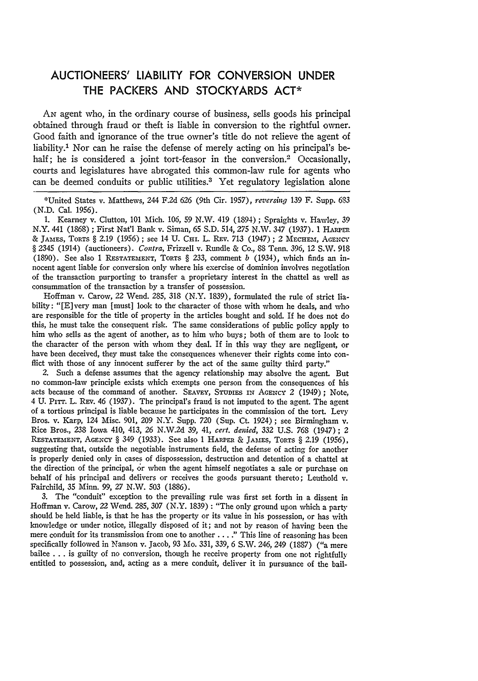## **AUCTIONEERS'** LIABILITY FOR **CONVERSION UNDER** THE PACKERS **AND** STOCKYARDS **ACT\***

AN agent who, in the ordinary course of business, sells goods his principal obtained through fraud or theft is liable in conversion to the rightful owner. Good faith and ignorance of the true owner's title do not relieve the agent of liability.<sup>1</sup> Nor can he raise the defense of merely acting on his principal's behalf; he is considered a joint tort-feasor in the conversion.<sup>2</sup> Occasionally, courts and legislatures have abrogated this common-law rule for agents who can be deemed conduits or public utilities.<sup>3</sup> Yet regulatory legislation alone

\*United States v. Matthews, 244 F.2d 626 (9th Cir. 1957), reversing 139 F. Supp. **683** (N.D. Cal. 1956).

1. Kearney v. Clutton, 101 Mich. 106, *59* N.W. 419 (1894) ; Spraights v. Hawley, 39 N.Y. 441 (1868); First Nat'l Bank v. Siman, 65 S.D. 514, 275 N.W. 347 (1937). 1 HARPER & **JAMES,** TORTS § 2.19 (1956); see 14 U. CH. L. REv. *713* (1947); 2 MECHEm, ArEncy § 2345 (1914) (auctioneers). *Contra,* Frizzell v. Rundle & Co., 88 Tenn. 396, 12 S.W. 918 (1890). See also 1 RESTATEMENT, TORTS § 233, comment *b* (1934), which finds an innocent agent liable for conversion only where his exercise of dominion involves negotiation of the transaction purporting to transfer a proprietary interest in the chattel as well as consummation of the transaction by a transfer of possession.

Hoffman v. Carow, 22 Wend. 285, 318 (N.Y. 1839), formulated the rule of strict liability: "[E]very man [must] look to the character of those with whom he deals, and who are responsible for the title of property in the articles bought and sold. If he does not do this, he must take the consequent risk. The same considerations of public policy apply to him who sells as the agent of another, as to him who buys; both of them are to look to the character of the person with whom they deal. If in this way they are negligent, or have been deceived, they must take the consequences whenever their rights come into conflict with those of any innocent sufferer by the act of the same guilty third party."

2. Such a defense assumes that the agency relationship may absolve the agent. But no common-law principle exists which exempts one person from the consequences of his acts because of the command of another. SEAVEY, STUDIES IN AGENCY 2 (1949); Note, 4 U. Pirw. L. Rav. 46 (1937). The principal's fraud is not imputed to the agent. The agent of a tortious principal is liable because he participates in the commission of the tort. Levy Bros. v. Karp, 124 Misc. 901, 209 N.Y. Supp. *720* (Sup. Ct. 1924); see Birmingham v. Rice Bros., 238 Iowa 410, 413, 26 N.W.2d 39, 41, *cert. denied,* 332 U.S. 768 (1947) ; 2 RESTATEMENT, **AGENCY** § 349 (1933). See also 1 HARPER & JAMES, TORTS § 2.19 (1956), suggesting that, outside the negotiable instruments field, the defense of acting for another is properly denied only in cases of dispossession, destruction and detention of a chattel at the direction of the principal, or when the agent himself negotiates a sale or purchase on behalf of his principal and delivers or receives the goods pursuant thereto; Leuthold v. Fairchild, **35** Minn. 99, 27 N.W. 503 (1886).

3. The "conduit" exception to the prevailing rule was first set forth in a dissent in Hoffman v. Carow, 22 Wend. 285, 307 (N.Y. 1839) : "The only ground upon which a party should be held liable, is that he has the property or its value in his possession, or has with knowledge or under notice, illegally disposed of it; and not by reason of having been the mere conduit for its transmission from one to another. . . **."** This line of reasoning has been specifically followed in Nanson v. Jacob, 93 Mo. 331, 339, 6 S.W. 246, 249 (1887) ("a mere bailee . . . is guilty of no conversion, though he receive property from one not rightfully entitled to possession, and, acting as a mere conduit, deliver it in pursuance of the bail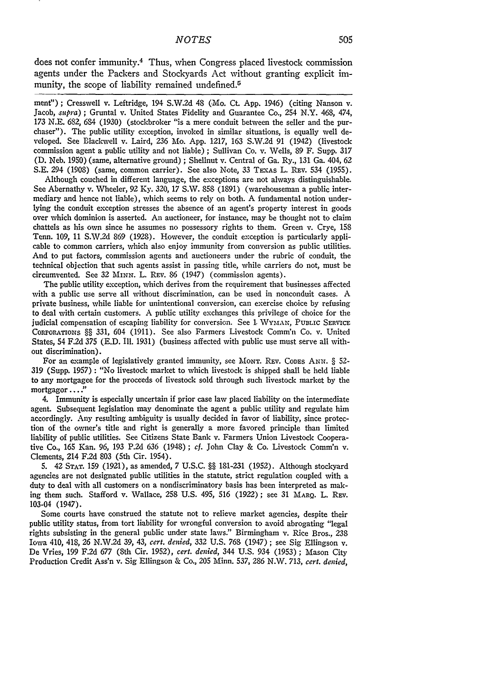does not confer immunity.4 Thus, when Congress placed livestock commission agents under the Packers and Stockyards Act without granting explicit immunity, the scope of liability remained undefined.<sup>5</sup>

ment"); Cresswell v. Leftridge, 194 S.W.2d 48 (Mo. **Ct.** App. 1946) (citing Nanson v. Jacob, *supra)* ; Gruntal v. United States Fidelity and Guarantee Co., 254 N.Y. 468, 474, 173 N.E. 682, 634 (1930) (stockbroker "is a mere conduit between the seller and the purchaser"). The public utility exception, invoked in similar situations, is equally well developed. See Blackwell v. Laird, 236 Mo. App. 1217, 163 S.W.2d 91 (1942) (livestock commission agent a public utility and not liable) ; Sullivan Co. v. Wells, 89 F. Supp. 317 **(D.** Neb. 1950) (same, alternative ground) ; Shellnut v. Central of Ga. Ry., 131 **Ga.** 404, 62 S.E. 294 (1908) (same, common carrier). See also Note, 33 TEXAS L. REV. 534 (1955).

Although couched in different language, the exceptions are not always distinguishable. See Abernathy v. Wheeler, 92 **Ky.** 320, 17 S.W. **858** (1891) (warehouseman a public intermediary and hence not liable), which seems to rely on both. A fundamental notion underlying the conduit exception stresses the absence of an agent's property interest in goods over which dominion is asserted. An auctioneer, for instance, may be thought not to claim chattels as his own since he assumes no possessory rights to them. Green v. Crye, **<sup>158</sup>** Tenn. 109, 11 S.W.2d 869 (1928). However, the conduit exception is particularly applicable to common carriers, which also enjoy immunity from conversion as public utilities. And to put factors, commission agents and auctioneers under the rubric of conduit, the technical objection that such agents assist in passing title, while carriers do not, must be circumvented. See 32 MINN. L. REV. 86 (1947) (commission agents).

The public utility exception, which derives from the requirement that businesses affected with a public use serve all without discrimination, can be used in nonconduit cases. A private business, while liable for unintentional conversion, can exercise choice **by** refusing to deal with certain customers. A public utility exchanges this privilege of choice for the judicial compensation of escaping liability for conversion. See 1 WYMAN, PUBLIC SERVICE CORPOrATIONS §§ 331, 604 (1911). See also Farmers Livestock Comm'n Co. v. United States, 54 F.2d 375 **(E.D. Ill.** 1931) (business affected with public use must serve all without discrimination).

For an example of legislatively granted immunity, see **MONT.** REv. CODES **ANN.** § 52- 319 (Supp. 1957) : "No livestock market to which livestock is shipped shall be held liable to any mortgagee for the proceeds of livestock sold through such livestock market **by** the mortgagor...."

4. Immunity is especially uncertain if prior case law placed liability on the intermediate agent. Subsequent legislation may denominate the agent a public utility and regulate him accordingly. Any resulting ambiguity is usually decided in favor of liability, since protection of the owner's title and right is generally a more favored principle than limited liability of public utilities. See Citizens State Bank v. Farmers Union Livestock Cooperative Co., 165 Kan. 96, 193 P.2d 636 (1948) ; *cf.* John Clay & Co. Livestock Comm'n v. Clements, 214 F.2d 803 (5th Cir. 1954).

5. 42 **STAT.** 159 (1921), as amended, 7 U.S.C. §§ 181-231 (1952). Although stockyard agencies are not designated public utilities in the statute, strict regulation coupled with a duty to deal with all customers on a nondiscriminatory basis has been interpreted as making them such. Stafford v. Wallace, 258 U.S. 495, 516 (1922); see **31** MARQ. L. REV. 103-04 (1947).

Some courts have construed the statute not to relieve market agencies, despite their public utility status, from tort liability for wrongful conversion to avoid abrogating "legal rights subsisting in the general public under state laws." Birmingham v. Rice Bros., 238 Iowa 410, 418, 26 N.W.2d 39, 43, *cert. denied,* 332 U.S. 763 (1947) ; see Sig Ellingson v. De Vries, 199 F.2d 677 (8th Cir. 1952), *cert. denied,* 344 U.S. 934 (1953) ; Mason City Production Credit Ass'n v. Sig Ellingson & Co., 205 Minn. 537, 286 N.W. 713, *cert. denied,*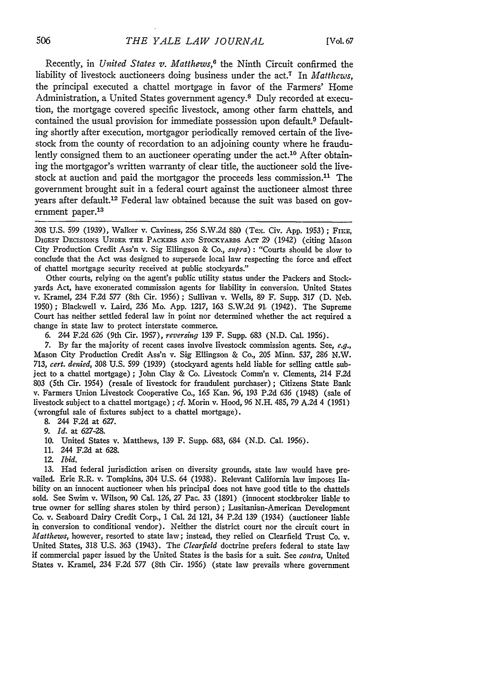Recently, in *United States v. Matthews,6* the Ninth Circuit confirmed the liability of livestock auctioneers doing business under the act.7 In *Matthews,* the principal executed a chattel mortgage in favor of the Farmers' Home Administration, a United States government agency.8 Duly recorded at execution, the mortgage covered specific livestock, among other farm chattels, and contained the usual provision for immediate possession upon default.<sup>9</sup> Defaulting shortly after execution, mortgagor periodically removed certain of the livestock from the county of recordation to an adjoining county where he fraudulently consigned them to an auctioneer operating under the act.<sup>10</sup> After obtaining the mortgagor's written warranty of clear title, the auctioneer sold the livestock at auction and paid the mortgagor the proceeds less commission.<sup>11</sup> The government brought suit in a federal court against the auctioneer almost three years after default.<sup>12</sup> Federal law obtained because the suit was based on government paper.<sup>13</sup>

308 U.S. 599 (1939), Walker v. Caviness, 256 S.W.2d 880 (Tex. Civ. App. 1953); FIKE, DIGEST DEcisIoNs UNDER **THE** PACKERS **AND** STOCKYARDS Act 29 (1942) (citing Mason City Production Credit Ass'n v. Sig Ellingson & *Co., supra) :* "Courts should be slow to conclude that the Act was designed to supersede local law respecting the force and effect of chattel mortgage security received at public stockyards."

Other courts, relying on the agent's public utility status under the Packers and Stockyards Act, have exonerated commission agents for liability in conversion. United States v. Kramel, 234 F.2d 577 (8th Cir. 1956); Sullivan v. Wells, 89 F. Supp. 317 (D. Neb. 1950); Blackwell v. Laird, 236 Mo. App. 1217, 163 S.W.2d *91,* (1942). The Supreme Court has neither settled federal law in point nor determined whether the act required a change in state law to protect interstate commerce.

6. 244 F.2d 626 (9th Cir. 1957), *reversing* 139 F. Supp. 683 (N.D. Cal. 1956).

7. By far the majority of recent cases involve livestock commission agents. See, *e.g.,* Mason City Production Credit Ass'n v. Sig Ellingson & Co., 205 Minn. 537, 286 N.W. 713, *cert. denied,* 308 U.S. 599 (1939) (stockyard agents held liable for selling cattle subject to a chattel mortgage) ; John Clay & Co. Livestock Comm'n v. Clements, 214 F.2d 803 (5th Cir. 1954) (resale of livestock for fraudulent purchaser) ; Citizens State Bank v. Farmers Union Livestock Cooperative Co., 165 Kan. 96, 193 P.2d 636 (1948) (sale of livestock subject to a chattel mortgage) **;** *cf.* Morin v. Hood, 96 N.H. 485, 79 A.2d 4 (1951) (wrongful sale of fixtures subject to a chattel mortgage).

8. 244 F.2d at **627.**

- 10. United States v. Matthews, 139 F. Supp. 683, 684 (N.D. Cal. 1956).
- 11. 244 F.2d at 628.
- 12. *Ibid.*

**13.** Had federal jurisdiction arisen on diversity grounds, state law would have prevailed. Erie R.R. v. Tompkins, 304 U.S. 64 (1938). Relevant California law imposes liability on an innocent auctioneer when his principal does not have good title to the chattels sold. See Swim v. Wilson, 90 Cal. 126, 27 Pac. 33 (1891) (innocent stockbroker liable to true owner for selling shares stolen by third person) ; Lusitanian-American Development Co. v. Seaboard Dairy Credit Corp., 1 Cal. 2d 121, 34 P.2d 139 (1934) (auctioneer liable in conversion to conditional vendor). Neither the district court nor the circuit court in *Matthews,* however, resorted to state law; instead, they relied on Clearfield Trust Co. v. United States, 318 U.S. 363 (1943). The *Clearfield* doctrine prefers federal to state law if commercial paper issued by the United States is the basis for a suit. See *contra,* United States v. Kramel, 234 F.2d 577 (8th Cir. 1956) (state law prevails where government

**<sup>9.</sup>** *Id.* at 627-28.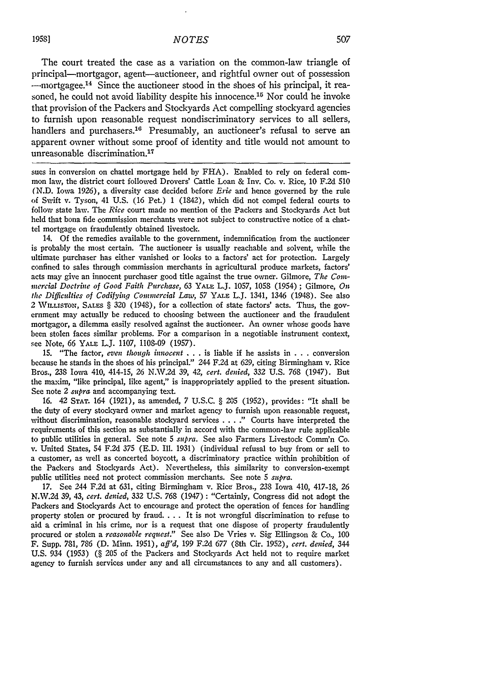The court treated the case as a variation on the common-law triangle of principal-mortgagor, agent-auctioneer, and rightful owner out of possession -mortgagee. 14 Since the auctioneer stood in the shoes of his principal, it reasoned, he could not avoid liability despite his innocence.<sup>15</sup> Nor could he invoke that provision of the Packers and Stockyards Act compelling stockyard agencies to furnish upon reasonable request nondiscriminatory services to all sellers, handlers and purchasers.<sup>16</sup> Presumably, an auctioneer's refusal to serve an apparent owner without some proof of identity and title would not amount to unreasonable discrimination.<sup>17</sup>

sues in conversion on chattel mortgage held by FHA). Enabled to rely on federal common law, the district court followed Drovers' Cattle Loan & Inv. Co. v. Rice, **10** F.2d **510** (N.D. Iowa 1926), a diversity case decided before Erie and hence governed by the rule of Swift v. Tyson, 41 U.S. (16 Pet.) 1 (1842), which did not compel federal courts to follow state law. The *Rice* court made no mention of the Packers and Stockyards Act but held that bona fide commission merchants were not subject to constructive notice of a chattel mortgage on fraudulently obtained livestock.

14. Of the remedies available to the government, indemnification from the auctioneer is probably the most certain. The auctioneer is usually reachable and solvent, while the ultimate purchaser has either vanished or looks to a factors' act for protection. Largely confined to sales through commission merchants in agricultural produce markets, factors' acts may give an innocent purchaser good title against the true owner. Gilmore, *The Coininercial Doctrine of Good Faith Purchase,* **63** YALE L.J. **1057,** 1058 (1954) ; Gilmore, *On the Difficulties of Codifying Commercial Law*, 57 YALE L.J. 1341, 1346 (1948). See also 2 **WILLISTON, SALES** § 320 (1948), for a collection of state factors' acts. Thus, the government may actually be reduced to choosing between the auctioneer and the fraudulent mortgagor, a dilemma easily resolved against the auctioneer. An owner whose goods have been stolen faces similar problems. For a comparison in a negotiable instrument context, see Note, **66 YALE** L.J. 1107, 1108-09 (1957).

15. "The factor, *even though innocent* . . . is liable if he assists in . . . conversion because he stands in the shoes of his principal." 244 F.2d at 629, citing Birmingham v. Rice Bros., 238 Iowa 410, 414-15, 26 N.W.2d 39, 42, *cert. denied,* 332 U.S. 768 (1947). But the maxim, "like principal, like agent," is inappropriately applied to the present situation. See note 2 *supra* and accompanying text.

16. 42 **STAT.** 164 (1921), as amended, 7 U.S.C. § 205 (1952), provides: "It shall be the duty of every stockyard owner and market agency to furnish upon reasonable request, without discrimination, reasonable stockyard services . **. . ."** Courts have interpreted the requirements of this section as substantially in accord with the common-law rule applicable to public utilities in general. See note 5 *supra.* See also Farmers Livestock Comm'n Co. v. United States, 54 F.2d 375 (E.D. Ill. 1931) (individual refusal to buy from or sell to a customer, as well as concerted boycott, a discriminatory practice within prohibition of the Packers and Stockyards Act). Nevertheless, this similarity to conversion-exempt public utilities need not protect commission merchants. See note 5 *supra.*

17. See 244 F.2d at 631, citing Birmingham v. Rice Bros., 238 Iowa 410, 417-18, 26 N.W.2d 39, 43, *cert. denied,* 332 U.S. 768 (1947) : "Certainly, Congress did not adopt the Packers and Stockyards Act to encourage and protect the operation of fences for handling property stolen or procured by fraud **....** It is not wrongful discrimination to refuse to aid a criminal in his crime, nor is a request that one dispose of property fraudulently procured or stolen a *reasonable request."* See also De Vries v. Sig Ellingson & Co., 100 F. Supp. 781, 786 (D. M1inn. 1951), *aff'd,* 199 F.2d 677 (8th Cir. 1952), *cert. denied, 344* U.S. 934 (1953) (§ 205 of the Packers and Stockyards Act held not to require market agency to furnish services under any and all circumstances to any and all customers).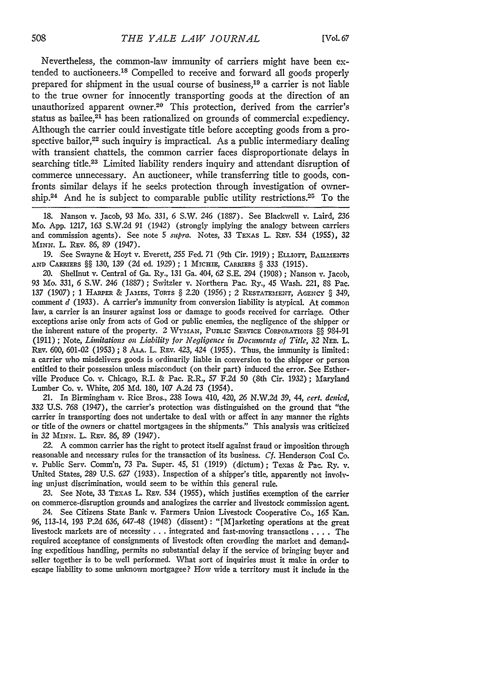Nevertheless, the common-law immunity of carriers might have been extended to auctioneers.<sup>18</sup> Compelled to receive and forward all goods properly prepared for shipment in the usual course of business,19 a carrier is not liable to the true owner for innocently transporting goods at the direction of an unauthorized apparent owner.<sup>20</sup> This protection, derived from the carrier's status as bailee,<sup>21</sup> has been rationalized on grounds of commercial expediency. Although the carrier could investigate title before accepting goods from a prospective bailor, $22$  such inquiry is impractical. As a public intermediary dealing with transient chattels, the common carrier faces disproportionate delays in searching title.<sup>23</sup> Limited liability renders inquiry and attendant disruption of commerce unnecessary. An auctioneer, while transferring title to goods, confronts similar delays if he seeks protection through investigation of ownership.<sup>24</sup> And he is subject to comparable public utility restrictions.<sup>25</sup> To the

18. Nanson v. Jacob, 93 Mo. 331, *6* S.W. 246 (1887). See Blackwell v. Laird, 236 Mo. App. 1217, 163 S.W.2d 91 (1942) (strongly implying the analogy between carriers and commission agents). See note **5** *supra.* Notes, 33 TEXAS L. REv. 534 (1955), 32 MINN. L. REV. 86, 89 (1947).

19. See Swayne & Hoyt v. Everett, **255** Fed. 71 (9th Cir. 1919) ; ELLIorr, BAIMENrS **AND CARRIERS** §§ *130,* 139 (2d ed. **1929)** ; 1 MICHm, CARRIERS § 333 (1915).

20. Shellnut v. Central of Ga. Ry., 131 Ga. 404, 62 S.E. 294 (1908) ; Nanson v. Jacob, 93 Mo. 331, 6 **S.W.** *246* (1887) ; Switzler v. Northern Pac. Ry., 45 Wash. 221, 88 Pac. 137 (1907); 1 HARPER & JAMES, TORTS § 2.20 (1956); 2 RESTATEMENT, AGENCY § 349, comment *d* (1933). A carrier's immunity from conversion liability is atypical. At common law, a carrier is an insurer against loss or damage to goods received for carriage. Other exceptions arise only from acts of God or public enemies, the negligence of the shipper or the inherent nature of the property. 2 WYMAN, PUBLIC SERVICE CORPORATIONS §§ 984-91 (1911) ; Note, *Limitations on Liability for Negligence in Documents of Title, 32 NEE.* L. REv. 600, 601-02 (1953) ; 8 **AL.** L. REv. 423, 424 (1955). Thus, the immunity is limited: a carrier who misdelivers goods is ordinarily liable in conversion to the shipper or person entitled to their possession unless misconduct (on their part) induced the error. See Estherville Produce Co. v. Chicago, R.I. & Pac. R.R., **57** F.2d 50 (8th Cir. 1932); Maryland Lumber Co. v. White, 205 **Md.** 180, **107** A.2d **73** (1954).

21. In Birmingham v. Rice Bros., 238 Iowa 410, 420, 26 N.W.2d 39, 44, *cert. denied,* 332 U.S. **768** (1947), the carrier's protection was distinguished on the ground that "the carrier in transporting does not undertake to deal with or affect in any manner the rights or title of the owners or chattel mortgagees in the shipments." This analysis was criticized in *32 MINN.* L. REv. 86, **89** (1947).

22. A common carrier has the right to protect itself against fraud or imposition through reasonable and necessary rules for the transaction of its business. *Cf.* Henderson Coal Co. v. Public Serv. Comm'n, **73** Pa. Super. 45, 51 (1919) (dictum); Texas & Pac. Ry. v. United States, *289* U.S. *627* (1933). Inspection of a shipper's title, apparently not involving unjust discrimination, would seem to be within this general rule.

23. See Note, 33 TEXAS L. REv. 534 (1955), which justifies exemption of the carrier on commerce-disruption grounds and analogizes the carrier and livestock commission agent.

24. See Citizens State Bank v. Farmers Union Livestock Cooperative Co., **165** Kan. 96, 113-14, 193 P.2d 636, 647-48 (1948) (dissent) : "[M]arketing operations at the great livestock markets are of necessity **. . .** integrated and fast-moving transactions .... The required acceptance of consignments of livestock often crowding the market and demanding expeditious handling, permits no substantial delay if the service of bringing buyer and seller together is to be well performed. What sort of inquiries must it make in order to escape liability to some unknown mortgagee? How wide a territory must it include in the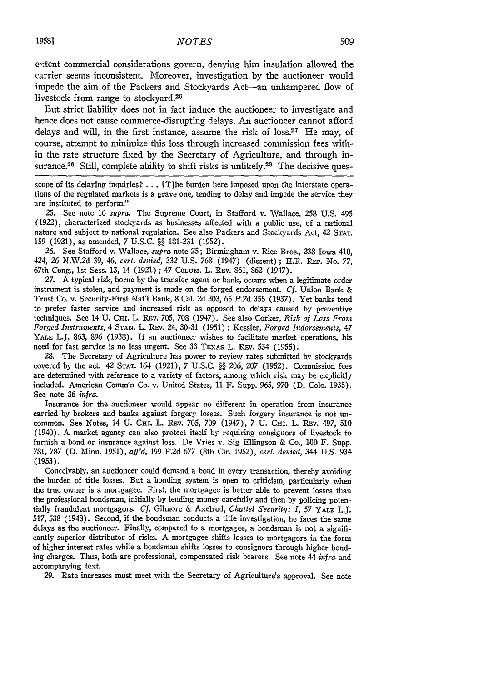extent commercial considerations govern, denying him insulation allowed the carrier seems inconsistent. Moreover, investigation by the auctioneer would impede the aim of the Packers and Stockyards Act-an unhampered flow **of** livestock from range to stockyard.<sup>26</sup>

But strict liability does not in fact induce the auctioneer to investigate and hence does not cause commerce-disrupting delays. An auctioneer cannot afford delays and will, in the first instance, assume the risk of loss.<sup>27</sup> He may, of course, attempt to minimize this loss through increased commission fees within the rate structure fixed by the Secretary of Agriculture, and through insurance.<sup>28</sup> Still, complete ability to shift risks is unlikely.<sup>29</sup> The decisive ques-

scope of its delaying inquiries? ... [T]he burden here imposed upon the interstate operations of the regulated markets is a grave one, tending to delay and impede the service they are instituted to perform."

25. See note 16 *supra.* The Supreme Court, in Stafford v. Wallace, 258 U.S. 495 (1922), characterized stockyards as businesses affected with a public use, of a national nature and subject to national regulation. See also Packers and Stockyards Act, 42 **STAT. 159** (1921), as amended, 7 U.S.C. §§ 181-231 (1952).

*26.* See Stafford v. Wallace, *supra* note 25; Birmingham v. Rice Bros., 238 Iowa 410, 424, 26 N.W.2d 39, 46, *cert. denied,* 332 U.S. 768 (1947) (dissent) ; H.R. REP. No. 77, 67th Cong., 1st Sess. 13, 14 (1921.) ; 47 **COLUm.** L. REv. 861, 862 (1947).

27. A typical risk, borne by the transfer agent or bank, occurs when a legitimate order instrument is stolen, and payment is made on the forged endorsement. *Cf.* Union Bank & Trust Co. v. Security-First Nat'l Bank, 8 Cal. 2d 303, 65 P.2d 355 (1937). Yet banks tend to prefer faster service and increased risk as opposed to delays caused by preventive techniques. See 14 U. **CH.** L. Rav. 705, **708** (1947). See also Corker, *Risk of Loss From Forged Instruments,* 4 **STAN.** L. Rav. 24, 30-31 (1951) **;** Kessler, *Forged I.ndorsemnents, 47* **YALE** L.J. 863, **896** (1938). If an auctioneer wishes to facilitate market operations, his need for fast service is no less urgent. See 33 TEXAS L. REV. 534 (1955).

28. The Secretary of Agriculture has power to review rates submitted by stockyards covered by the act. 42 **STAT.** 164 (1921), 7 U.S.C. §§ 206, **207** (1952). Commission fees are determined with reference to a variety of factors, among which risk may be explicitly included. American Comm'n Co. v. United States, 11 F. Supp. 965, **970** (D. Colo. 1935). See note 36 *infra.*

Insurance for the auctioneer would appear no different in operation from insurance carried by brokers and banks against forgery losses. Such forgery insurance is not uncommon. See Notes, 14 U. Cm. L. **REv.** 705, **709** (1947), 7 U. CHi. L. REv. 497, **510** (1940). A market agency can also protect itself by requiring consignors of livestock to furnish a bond or insurance against loss. De Vries v. Sig Ellingson & Co., **100** F. Supp.. 781, 787 (D. Minn. 1951), *aff'd,* **199** F.2d 677 (8th Cir. 1952), *cert. denied,* 344 U.S. 934 (1953).

Conceivably, an auctioneer could demand a bond in every transaction, thereby avoiding the burden of title losses. But a bonding system is open to criticism, particularly when the true owner is a mortgagee. First, the mortgagee is better able to prevent losses than the professional bondsman, initially by lending money carefully and then by policing potentially fraudulent mortgagors. **Cf.** Gilmore & Axelrod, *Chattel Security: I,* 57 YALE L.J. 517, 538 (1948). Second, if the bondsman conducts a title investigation, he faces the same delays as the auctioneer. Finally, compared to a mortgagee, a bondsman is not a significantly superior distributor of risks. A mortgagee shifts losses to mortgagors in the form of higher interest rates while a bondsman shifts losses to consignors through higher bonding charges. Thus, both are professional, compensated risk bearers. See note 44 *infra* and accompanying text.

29. Rate increases must meet with the Secretary of Agriculture's approval. See note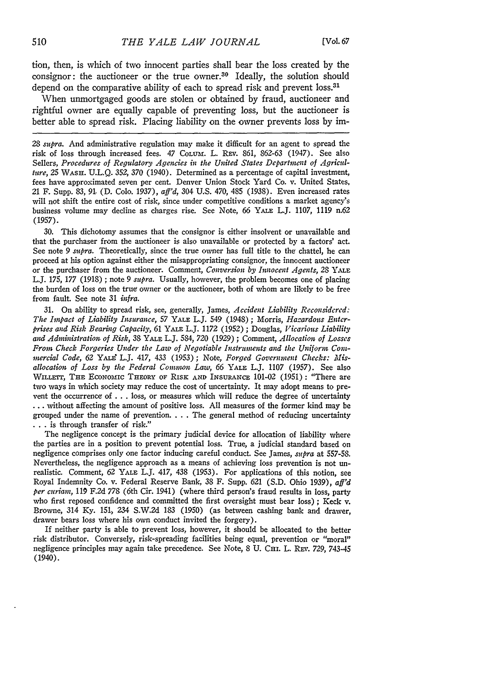tion, then, is which of two innocent parties shall bear the loss created by the consignor: the auctioneer or the true owner.<sup>30</sup> Ideally, the solution should depend on the comparative ability of each to spread risk and prevent loss.<sup>31</sup>

When unmortgaged goods are stolen or obtained by fraud, auctioneer and rightful owner are equally capable of preventing loss, but the auctioneer is better able to spread risk. Placing liability on the owner prevents loss by im-

28 *supra.* And administrative regulation may make it difficult for an agent to spread the risk of loss through increased fees. 47 **CoLuvX.** L. Rav. 861, 862-63 (1947). See also Sellers, *Procedures of Regulatory Agencies in the United States Department of Agriculture, 25* WASH. U.L.Q. 352, 370 (1940). Determined as a percentage of capital investment, fees have approximated seven per cent. Denver Union Stock Yard Co. v. United States, 21 F. Supp. 83, **91,** (D. Colo. 1937), *aff'd,* 304 U.S. 470, 485 (1938). Even increased rates will not shift the entire cost of risk, since under competitive conditions a market agency's business volume may decline as charges rise. See Note, 66 YALE L.J. 1107, 1119 n.62 (1957).

30. This dichotomy assumes that the consignor is either insolvent or unavailable and that the purchaser from the auctioneer is also unavailable or protected by a factors' act. See note 9 *supra.* Theoretically, since the true owner has full title to the chattel, he can proceed at his option against either the misappropriating consignor, the innocent auctioneer or the purchaser from the auctioneer. Comment, *Conversion by Innocent Agents, 28* YALE L.J. 175, 177 (1918) ; note 9 *supra.* Usually, however, the problem becomes one of placing the burden of loss on the true owner or the auctioneer, both of whom are likely to be free from fault. See note 31 *infra.*

31. On ability to spread risk, see, generally, James, *Accident Liability Reconsidered: The Impact of Liability Insurance,* 57 YALE L.J. 549 (1948) ; Morris, *Hazardous Enterprises and Risk Bearing Capacity,* 61 **YALE** L.J. 1172 (1952) ; Douglas, *Vicarious Liability and Administration of Risk,* 38 YALE L.J. 584, 720 (1929) *;* Comment, *Allocation of Losses From Check Forgeries Under the Law of Negotiable Instruments and the Uniform Comnmnercial Code,* 62 **YAL"** L.J. 417, 433 (1953); Note, *Forged Government Checks: Misallocation of Loss by the Federal Comwon Law, 66* YALE L.J. 1107 (1957). See also WILLETT, THE ECONOMIC THEORY OF RISK AND INSURANCE 101-02 (1951): "There are two ways in which society may reduce the cost of uncertainty. It may adopt means to prevent the occurrence of ... loss, or measures which will reduce the degree of uncertainty **...** without affecting the amount of positive loss. All measures of the former kind may be grouped under the name of prevention. . **.** . The general method of reducing uncertainty **. . .** is through transfer of risk."

The negligence concept is the primary judicial device for allocation of liability where the parties are in a position to prevent potential loss. True, a judicial standard based on negligence comprises only one factor inducing careful conduct. See James, *supra* at 557-58. Nevertheless, the negligence approach as a means of achieving loss prevention is not unrealistic. Comment, 62 YALE L.J. 417, 438 (1953). For applications of this notion, see Royal Indemnity Co. v. Federal Reserve Bank, 38 F. Supp. 621 (S.D. Ohio 1939), *aff'd per curiam, 119* F.2d 778 (6th Cir. 1941) (where third person's fraud results in loss, party who first reposed confidence and committed the first oversight must bear loss) ; Keck v. Browne, 314 Ky. 151, 234 S.W.2d 183 (1950) (as between cashing bank and drawer, drawer bears loss where his own conduct invited the forgery).

If neither party is able to prevent loss, however, it should be allocated to the better risk distributor. Conversely, risk-spreading facilities being equal, prevention or "moral" negligence principles may again take precedence. See Note, 8 U. CHI. L. REV. 729, 743-45 (1940).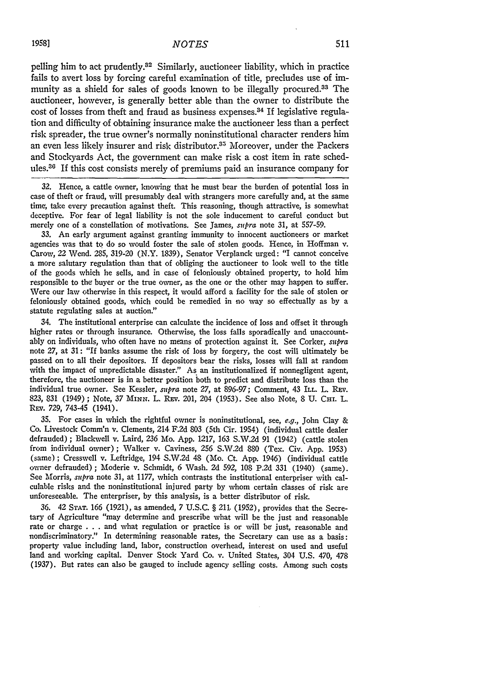pelling him to act prudently.<sup>32</sup> Similarly, auctioneer liability, which in practice fails to avert loss by forcing careful examination of title, precludes use of immunity as a shield for sales of goods known to be illegally procured.33 The auctioneer, however, is generally better able than the owner to distribute the cost of losses from theft and fraud as business expenses.<sup>34</sup> If legislative regulation and difficulty of obtaining insurance make the auctioneer less than a perfect risk spreader, the true owner's normally noninstitutional character renders him an even less likely insurer and risk distributor.<sup>35</sup> Moreover, under the Packers and Stockyards Act, the government can make risk a cost item in rate schedules.36 If this cost consists merely of premiums paid an insurance company for

32. Hence, a cattle owner, knowing that he must bear the burden of potential loss in case of theft or fraud, will presumably deal with strangers more carefully and, at the same time, take every precaution against theft. This reasoning, though attractive, is somewhat deceptive. For fear of legal liability is not the sole inducement to careful conduct but merely one of a constellation of motivations. See James, *supra* note 31, at 557-59.

33. An early argument against granting immunity to innocent auctioneers or market agencies was that to do so would foster the sale of stolen goods. Hence, in Hoffman v. Carow, 22 Wend. 285, 319-20 (N.Y. 1839), Senator Verplanck urged: "I cannot conceive a more salutary regulation than that of obliging the auctioneer to look well to the title of the goods which he sells, and in case of feloniously obtained property, to hold him responsible to the buyer or the true owner, as the one or the other may happen to suffer. Were our law otherwise in this respect, it would afford a facility for the sale of stolen or feloniously obtained goods, which could be remedied in no way so effectually as by a statute regulating sales at auction."

34. The institutional enterprise can calculate the incidence of loss and offset it through higher rates or through insurance. Otherwise, the loss falls sporadically and unaccountably on individuals, who often have no means of protection against it. See Corker, *supra* note **27,** at 31: "If banks assume the risk of loss by forgery, the cost will ultimately be passed on to all their depositors. If depositors bear the risks, losses will fall at random with the impact of unpredictable disaster." As an institutionalized if nonnegligent agent, therefore, the auctioneer is in a better position both to predict and distribute loss than the individual true owner. See Kessler, *supra* note 27, at 896-97; Comment, 43 **ILL.** L. REv. 823, 831 (1949) ; Note, *37 MINN.* L. REv. 201, 204 (1953). See also Note, 8 U. **CHI.** L. REv. 729, 743-45 (1941).

35. For cases in which the rightful owner is noninstitutional, see, *e.g.,* John Clay & Co. Livestock Comm'n v. Clements, 214 F.2d 803 (5th Cir. 1954) (individual cattle dealer defrauded) ; Blackwell v. Laird, 236 Mo. App. 1217, 163 S.W.2d 91 (1942) (cattle stolen from individual owner); Walker v. Caviness, 256 S.W.2d 880 (Tex. Civ. App. 1953) (same); Cresswell v. Leftridge, 194 S.W.2d 48 (Mo. Ct. App. 1946) (individual cattle owner defrauded) ; Moderie v. Schmidt, 6 Wash. 2d 592, 108 P.2d 331 (1940) (same). See Morris, *supra* note 31, at 1177, which contrasts the institutional enterpriser with calculable risks and the noninstitutional injured party by whom certain classes of risk are unforeseeable. The enterpriser, by this analysis, is a better distributor of risk.

36. 42 **STAT.** 166 (1921), as amended, 7 U.S.C. § 211. (1952), provides that the Secretary of Agriculture "may determine and prescribe what will be the just and reasonable rate or charge . . . and what regulation or practice is or will be just, reasonable and nondiscriminatory." In determining reasonable rates, the Secretary can use as a basis: property value including land, labor, construction overhead, interest on used and useful land and working capital. Denver Stock Yard Co. v. United States, 304 U.S. 470, 478 (1937). But rates can also be gauged to include agency selling costs. Among such costs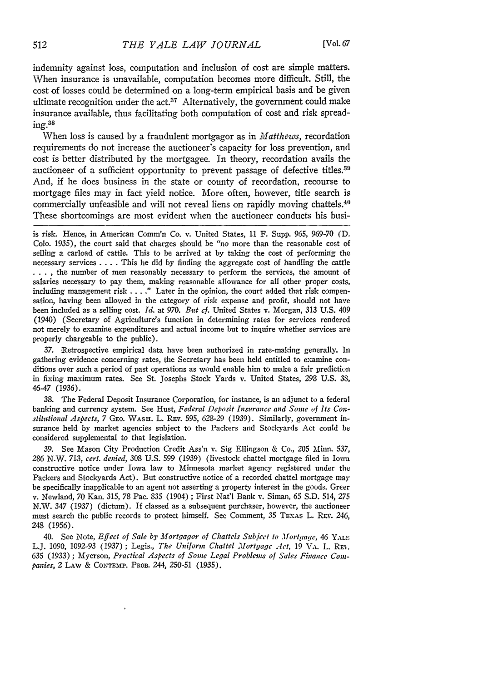indemnity against loss, computation and inclusion of cost are simple matters. When insurance is unavailable, computation becomes more difficult. Still, the cost of losses could be determined on a long-term empirical basis and be given ultimate recognition under the act.<sup>37</sup> Alternatively, the government could make insurance available, thus facilitating both computation of cost and risk spread $ine<sup>.38</sup>$ 

When loss is caused **by** a fraudulent mortgagor as in *Matthews,* recordation requirements do not increase the auctioneer's capacity for loss prevention, and cost is better distributed **by** the mortgagee. In theory, recordation avails the auctioneer of a sufficient opportunity to prevent passage of defective titles.<sup>39</sup> And, if he does business in the state or county of recordation, recourse to mortgage files may in fact yield notice. More often, however, title search is commercially unfeasible and will not reveal liens on rapidly moving chattels.<sup>40</sup> These shortcomings are most evident when the auctioneer conducts his busi-

is risk. Hence, in American Comm'n Co. v. United States, **1.1** F. Supp. **965, 969-70 (D. Colo. 1935),** the court said that charges should be "no more than the reasonable cost of selling a carload of cattle. This to be arrived at **by** taking the cost of performing the necessary services .... This **he** did **by** finding the aggregate cost of handling the cattle **....** ,the number of men reasonably necessary to perform the services, the amount of salaries necessary to pay them, making reasonable allowance for all other proper costs, including management risk **... ."** Later in the opinion, the court added that risk compensation, having been allowed in the category of risk expense and profit, should not have been included as a selling cost. *Id.* at 970. *But ef.* United States v. Morgan, **313 U.S.** 409 (1940) (Secretary of Agriculture's function in determining rates for services rendered not merely to examine expenditures and actual income but to inquire whether services are properly chargeable to the public).

**37.** Retrospective empirical data have been authorized in rate-making generally. In gathering evidence concerning rates, the Secretary has been held entitled to examine conditions over such a period of past operations as would enable him to **make** a fair prediction in fixing maximum rates. See **St.** Josephs Stock Yards v. United States, **293 U.S. 38,** *46-47* **(1936).**

**38.** The Federal Deposit Insurance Corporation, for instance, is an adjunct to a federal banking and currency system. See Hust, *Federal Deposit Insurance and Sonie of Its Constitutional Aspects,* **7** GEo. WAsH. L. REv. **595, 628-29 (1939).** Similarly, government insurance held **by** market agencies subject to the Packers and Stockyards Act could be considered supplemental to that legislation.

**39.** See Mason City Production Credit Ass'n **v.** Sig Ellingson & Co., **205** Minn. **537, 286** N.W. *713, cert. denied,* **308 U.S. 599** (1939) (livestock chattel mortgage filed in Iowa constructive notice under Iowa law to Minnesota market agency registered under the Packers and Stockyards Act). But constructive notice of a recorded chattel mortgage may be specifically inapplicable to an agent not asserting a property interest in the goods. Greer v. Newland, **70** Kan. **315, 78** Pac. **835** (1904) ; First Nat'l Bank v. Siman, **65 S.D.** 514, **275** N.W. 347 (1937) (dictum). **If** classed as a subsequent purchaser, however, the auctioneer must search the public records to protect himself. See Comment, **35 TEXAS** L. REv. 246, 248 (1956).

40. See Note, *Effect of Sale by Mortgagor of Chattels Subject to Mortgage,* 46 **YALr** L.J. 1090, 1092-93 (1937) **;** Legis., *The Uniform Chattel Mortgage .let,* 19 VA. L. REV. **635** (1933) ; Myerson, *Practical Aspects of Some Legal Problems of Sales Finance Companies,* 2 LAw & **CoNTEmp. PaoB.** 244, 250-51 (1935).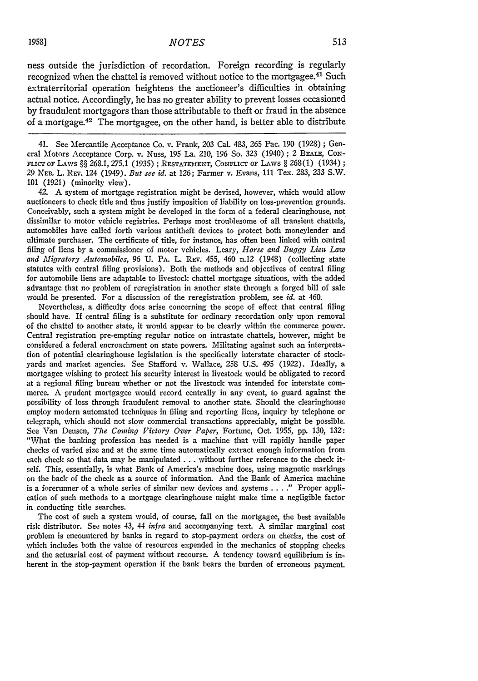ness outside the jurisdiction of recordation. Foreign recording is regularly recognized when the chattel is removed without notice to the mortgagee.<sup>41</sup> Such extraterritorial operation heightens the auctioneer's difficulties in obtaining actual notice. Accordingly, he has no greater ability to prevent losses occasioned by fraudulent mortgagors than those attributable to theft or fraud in the absence of a mortgage.42 The mortgagee, on the other hand, is better able to distribute

41. See Mercantile Acceptance Co. v. Frank, 203 Cal. 483, 265 Pac. 190 (1928) ; General Motors Acceptance Corp. v. Nuss, **195** La. 210, 196 So. 323 (1940); 2 BEALE, CON-FLICT OF LAWS §§ 268.1, *275.1* (1935) ; RESTATEMENT, CoNFLICr OF LAWS § 268(1) (1934) **;** 29 **NED.** L. Rzv. 124 (1949). *But see id.* at 126; Farmer v. Evans, 111 Tex. 283, 233 S.W. 101 (1921) (minority view).

42. **A** system of mortgage registration might be devised, however, which would allow auctioneers to check title and thus justify imposition of liability on loss-prevention grounds. Conceivably, such a system might be developed in the form of a federal clearinghouse, not dissimilar to motor vehicle registries. Perhaps most troublesome **of** all transient chattels, automobiles have called forth various antitheft devices to protect both moneylender and ultimate purchaser. The certificate of title, for instance, has often been linked with central filing of liens by a commissioner of motor vehicles. Leary, *Horse and Buggy Lien Law and Migratory Automobiles,* 96 U. PA. L. REv. 455, 460 n.12 (1948) (collecting state statutes with central filing provisions). Both the methods and objectives of central filing for automobile liens are adaptable to livestock chattel mortgage situations, with the added advantage that no problem of reregistration in another state through a forged bill of sale would be presented. For a discussion of the reregistration problem, see *id.* at 460.

Nevertheless, a difficulty does arise concerning the scope of effect that central filing should have. If central filing is a substitute for ordinary recordation only upon removal of the chattel to another state, it would appear to be clearly within the commerce power. Central registration pre-empting regular notice on intrastate chattels, however, might be considered a federal encroachment on state powers. Militating against such an interpretation of potential clearinghouse legislation is the specifically interstate character of stockyards and market agencies. See Stafford v. Wallace, **258** U.S. 495 (1922). Ideally, a mortgagee wishing to protect his security interest in livestock would be obligated to record at a regional filing bureau whether or not the livestock was intended for interstate commerce. **A** prudent mortgagee would record centrally in any event, to guard against the possibility of loss through fraudulent removal to another state. Should the clearinghouse employ modern automated techniques in filing and reporting liens, inquiry by telephone or telegraph, which should not slow commercial transactions appreciably, might be possible. See Van Deusen, *The Coming Victory Over Paper,* Fortune, Oct. 1955, **pp.** 130, 132: "What the banking profession has needed is a machine that will rapidly handle paper checks of varied size and at the same time automatically extract enough information from each check so that data may be manipulated **...** without further reference to the check itself. This, essentially, is what Bank of America's machine does, using magnetic markings on the back of the check as a source of information. And the Bank of America machine is a forerunner of a whole series of similar new devices and systems . **.** . **"** Proper application of such methods to a mortgage clearinghouse might make time a negligible factor in conducting title searches.

The cost of such a system would, of course, fall on the mortgagee, the best available risk distributor. See notes 43, 44 *infra* and accompanying text. A similar marginal cost problem is encountered by banks in regard to stop-payment orders on checks, the cost of which includes both the value of resources expended in the mechanics of stopping checks and the actuarial cost of payment without recourse. A tendency toward equilibrium is inherent in the stop-payment operation if the bank bears the burden of erroneous payment.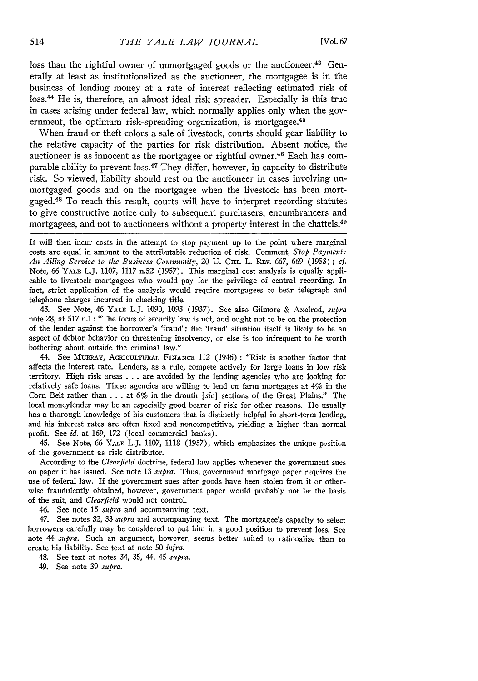loss than the rightful owner of unmortgaged goods or the auctioneer.<sup>43</sup> Generally at least as institutionalized as the auctioneer, the mortgagee is in the business of lending money at a rate of interest reflecting estimated risk of loss. 44 He is, therefore, an almost ideal risk spreader. Especially is this true in cases arising under federal law, which normally applies only when the government, the optimum risk-spreading organization, is mortgagee.<sup>45</sup>

When fraud or theft colors a sale of livestock, courts should gear liability to the relative capacity of the parties for risk distribution. Absent notice, the auctioneer is as innocent as the mortgagee or rightful owner.<sup>46</sup> Each has comparable ability to prevent loss. 47 They differ, however, in capacity to distribute risk. So viewed, liability should rest on the auctioneer in cases involving unmortgaged goods and on the mortgagee when the livestock has been mortgaged.48 To reach this result, courts will have to interpret recording statutes to give constructive notice only to subsequent purchasers, encumbrancers and mortgagees, and not to auctioneers without a property interest in the chattels.<sup>49</sup>

It will then incur costs in the attempt to stop payment up to the point where marginal costs are equal in amount to the attributable reduction of risk. Comment, *Stop Payment:* An Ailing Service to the Business Community, 20 U. CHI. L. REV. 667, 669 (1953) ; *cf.* Note, **66** YALE L.J. 1.107, 1117 n.52 (1957). This marginal cost analysis is equally applicable to livestock mortgagees who would pay for the privilege of central recording. In fact, strict application of the analysis would require mortgagees to bear telegraph and telephone charges incurred in checking title.

43. See Note, 46 YALE L.J. 1090, 1093 (1937). See also Gilmore & Axelrod, *supra* note 28, at 517 n.1: "The focus of security law is not, and ought not to be on the protection of the lender against the borrower's 'fraud'; the 'fraud' situation itself is likely to be an aspect of debtor behavior on threatening insolvency, or else is too infrequent to be worth bothering about outside the criminal law."

44. See MuRRAY, AGRICULTURAL **FiNANCE** 112 (1946): "Risk is another factor that affects the interest rate. Lenders, as a rule, compete actively for large loans in low risk territory. High risk areas **.** . **.** are avoided **by** the lending agencies who are looking for relatively safe loans. These agencies are willing to lend on farm mortgages at 4% in the Corn Belt rather than . **. .** at 6% in the drouth *[sic]* sections of the Great Plains." The local moneylender may be an especially good bearer of risk for other reasons. He usually has a thorough knowledge of his customers that is distinctly helpful in short-term lending, and his interest rates are often fixed and noncompetitive, yielding a higher than normal profit. See *id.* at 169, 172 (local commercial banks).

45. See Note, 66 YALE L.J. 1107, 1118 (1957), which emphasizes the unique pusition of the government as risk distributor.

According to the *Clearfield* doctrine, federal law applies whenever the government sues on paper it has issued. See note 13 *supra.* Thus, government mortgage paper requires the use of federal law. If the government sues after goods have been stolen from it or otherwise fraudulently obtained, however, government paper would probably not be the basis of the suit, and *Clearfield* would not control.

46. See note 15 *supra* and accompanying text.

47. See notes 32, 33 *supra* and accompanying text. The mortgagee's capacity to select borrowers carefully may be considered to put him in a good position to prevent loss. See note 44 *supra.* Such an argument, however, seems better suited to rationalize than to create his liability. See text at note 50 *infra.*

48. See text at notes 34, 35, 44, 45 *supra.*

49. See note 39 *supra.*